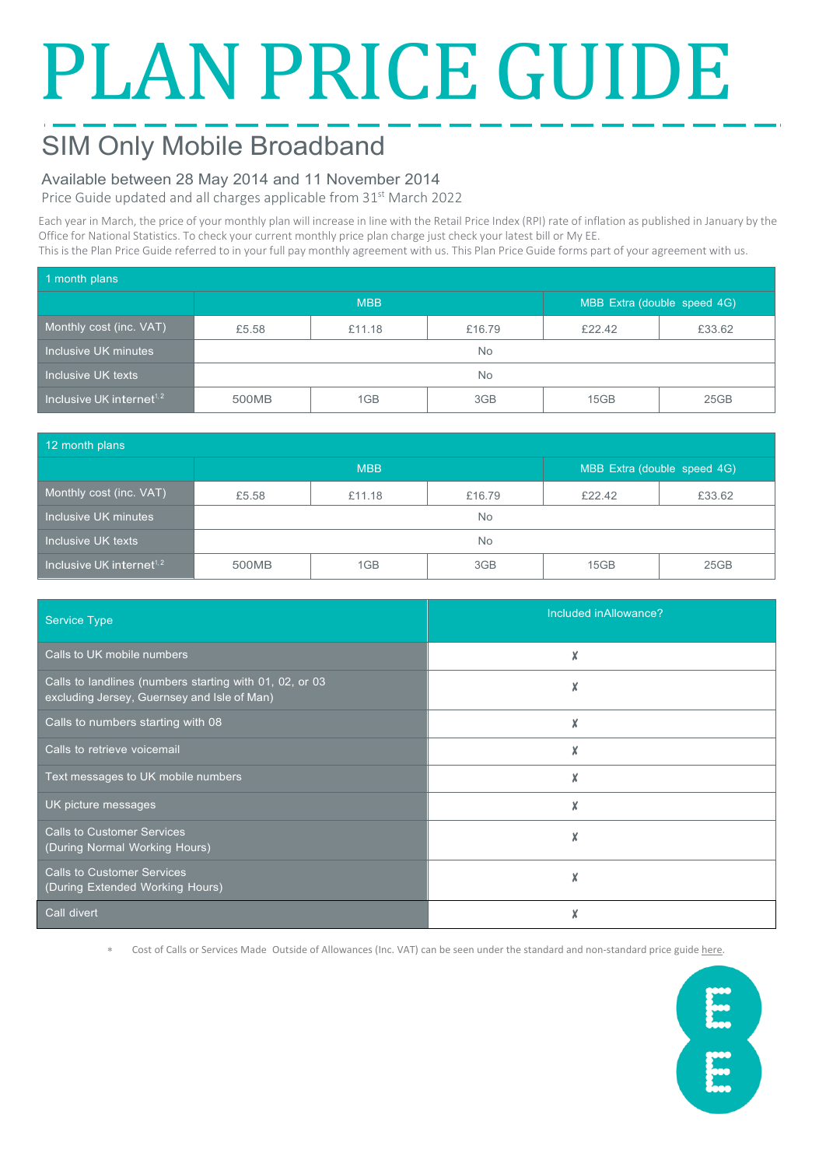# PLAN PRICE GUIDE

## SIM Only Mobile Broadband

### Available between 28 May 2014 and 11 November 2014

Price Guide updated and all charges applicable from 31<sup>st</sup> March 2022

Each year in March, the price of your monthly plan will increase in line with the Retail Price Index (RPI) rate of inflation as published in January by the Office for National Statistics. To check your current monthly price plan charge just check your latest bill or My EE. This is the Plan Price Guide referred to in your full pay monthly agreement with us. This Plan Price Guide forms part of your agreement with us.

| 1 month plans                                      |            |        |        |                             |        |  |  |
|----------------------------------------------------|------------|--------|--------|-----------------------------|--------|--|--|
|                                                    | <b>MBB</b> |        |        | MBB Extra (double speed 4G) |        |  |  |
| Monthly cost (inc. VAT)                            | £5.58      | £11.18 | £16.79 | £22.42                      | £33.62 |  |  |
| Inclusive UK minutes                               | No.        |        |        |                             |        |  |  |
| Inclusive UK texts                                 | No.        |        |        |                             |        |  |  |
| Inclusive UK internet <sup><math>1, 2</math></sup> | 500MB      | 1GB    | 3GB    | 15GB                        | 25GB   |  |  |

| 12 month plans                        |            |        |        |                             |        |  |
|---------------------------------------|------------|--------|--------|-----------------------------|--------|--|
|                                       | <b>MBB</b> |        |        | MBB Extra (double speed 4G) |        |  |
| Monthly cost (inc. VAT)               | £5.58      | £11.18 | £16.79 | £22.42                      | £33.62 |  |
| Inclusive UK minutes                  | No.        |        |        |                             |        |  |
| Inclusive UK texts                    | <b>No</b>  |        |        |                             |        |  |
| Inclusive UK internet <sup>1, 2</sup> | 500MB      | 1GB    | 3GB    | 15GB                        | 25GB   |  |

| <b>Service Type</b>                                                                                    | Included inAllowance? |  |  |
|--------------------------------------------------------------------------------------------------------|-----------------------|--|--|
| Calls to UK mobile numbers                                                                             |                       |  |  |
| Calls to landlines (numbers starting with 01, 02, or 03<br>excluding Jersey, Guernsey and Isle of Man) | X                     |  |  |
| Calls to numbers starting with 08                                                                      | X                     |  |  |
| Calls to retrieve voicemail                                                                            | X                     |  |  |
| Text messages to UK mobile numbers                                                                     | X                     |  |  |
| UK picture messages                                                                                    | X                     |  |  |
| <b>Calls to Customer Services</b><br>(During Normal Working Hours)                                     | X                     |  |  |
| <b>Calls to Customer Services</b><br>(During Extended Working Hours)                                   | X                     |  |  |
| Call divert                                                                                            |                       |  |  |

∗ Cost of Calls or Services Made Outside of Allowances (Inc. VAT) can be seen under the standard and non-standard price guid[e here.](https://ee.co.uk/help/help-new/price-plans/mobile/pay-monthly-price-plans)